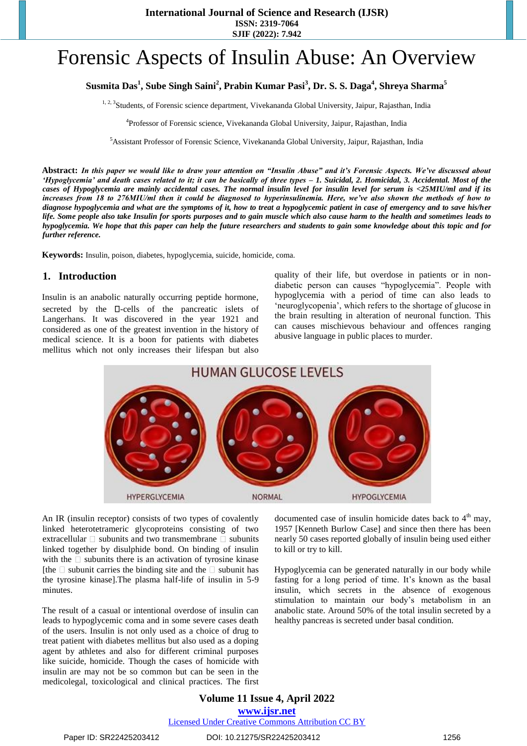**International Journal of Science and Research (IJSR) ISSN: 2319-7064**

**SJIF (2022): 7.942**

# Forensic Aspects of Insulin Abuse: An Overview

# **Susmita Das<sup>1</sup> , Sube Singh Saini<sup>2</sup> , Prabin Kumar Pasi<sup>3</sup> , Dr. S. S. Daga<sup>4</sup> , Shreya Sharma<sup>5</sup>**

<sup>1, 2, 3</sup>Students, of Forensic science department, Vivekananda Global University, Jaipur, Rajasthan, India

4 Professor of Forensic science, Vivekananda Global University, Jaipur, Rajasthan, India

<sup>5</sup>Assistant Professor of Forensic Science, Vivekananda Global University, Jaipur, Rajasthan, India

**Abstract:** *In this paper we would like to draw your attention on "Insulin Abuse" and it's Forensic Aspects. We've discussed about 'Hypoglycemia' and death cases related to it; it can be basically of three types – 1. Suicidal, 2. Homicidal, 3. Accidental. Most of the cases of Hypoglycemia are mainly accidental cases. The normal insulin level for insulin level for serum is <25MIU/ml and if its increases from 18 to 276MIU/ml then it could be diagnosed to hyperinsulinemia. Here, we've also shown the methods of how to diagnose hypoglycemia and what are the symptoms of it, how to treat a hypoglycemic patient in case of emergency and to save his/her life. Some people also take Insulin for sports purposes and to gain muscle which also cause harm to the health and sometimes leads to hypoglycemia. We hope that this paper can help the future researchers and students to gain some knowledge about this topic and for further reference.* 

**Keywords:** Insulin, poison, diabetes, hypoglycemia, suicide, homicide, coma.

#### **1. Introduction**

Insulin is an anabolic naturally occurring peptide hormone, secreted by the  $\Box$ -cells of the pancreatic islets of Langerhans. It was discovered in the year 1921 and considered as one of the greatest invention in the history of medical science. It is a boon for patients with diabetes mellitus which not only increases their lifespan but also

quality of their life, but overdose in patients or in nondiabetic person can causes "hypoglycemia". People with hypoglycemia with a period of time can also leads to 'neuroglycopenia', which refers to the shortage of glucose in the brain resulting in alteration of neuronal function. This can causes mischievous behaviour and offences ranging abusive language in public places to murder.



An IR (insulin receptor) consists of two types of covalently linked heterotetrameric glycoproteins consisting of two extracellular  $\Box$  subunits and two transmembrane  $\Box$  subunits linked together by disulphide bond. On binding of insulin with the  $\square$  subunits there is an activation of tyrosine kinase [the  $\Box$  subunit carries the binding site and the  $\Box$  subunit has the tyrosine kinase].The plasma half-life of insulin in 5-9 minutes.

The result of a casual or intentional overdose of insulin can leads to hypoglycemic coma and in some severe cases death of the users. Insulin is not only used as a choice of drug to treat patient with diabetes mellitus but also used as a doping agent by athletes and also for different criminal purposes like suicide, homicide. Though the cases of homicide with insulin are may not be so common but can be seen in the medicolegal, toxicological and clinical practices. The first documented case of insulin homicide dates back to  $4<sup>th</sup>$  may, 1957 [Kenneth Burlow Case] and since then there has been nearly 50 cases reported globally of insulin being used either to kill or try to kill.

Hypoglycemia can be generated naturally in our body while fasting for a long period of time. It's known as the basal insulin, which secrets in the absence of exogenous stimulation to maintain our body's metabolism in an anabolic state. Around 50% of the total insulin secreted by a healthy pancreas is secreted under basal condition.

**Volume 11 Issue 4, April 2022 www.ijsr.net** Licensed Under Creative Commons Attribution CC BY

Paper ID: SR22425203412 DOI: 10.21275/SR22425203412 1256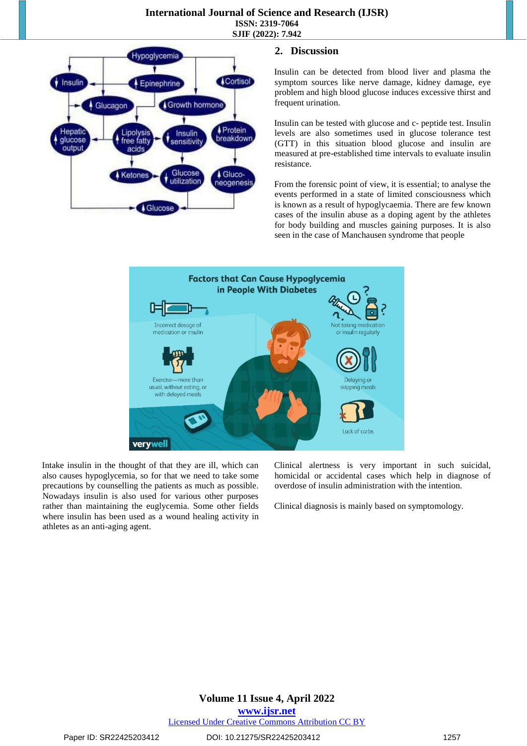

## **2. Discussion**

Insulin can be detected from blood liver and plasma the symptom sources like nerve damage, kidney damage, eye problem and high blood glucose induces excessive thirst and frequent urination.

Insulin can be tested with glucose and c- peptide test. Insulin levels are also sometimes used in glucose tolerance test (GTT) in this situation blood glucose and insulin are measured at pre-established time intervals to evaluate insulin resistance.

From the forensic point of view, it is essential; to analyse the events performed in a state of limited consciousness which is known as a result of hypoglycaemia. There are few known cases of the insulin abuse as a doping agent by the athletes for body building and muscles gaining purposes. It is also seen in the case of Manchausen syndrome that people



Intake insulin in the thought of that they are ill, which can also causes hypoglycemia, so for that we need to take some precautions by counselling the patients as much as possible. Nowadays insulin is also used for various other purposes rather than maintaining the euglycemia. Some other fields where insulin has been used as a wound healing activity in athletes as an anti-aging agent.

Clinical alertness is very important in such suicidal, homicidal or accidental cases which help in diagnose of overdose of insulin administration with the intention.

Clinical diagnosis is mainly based on symptomology.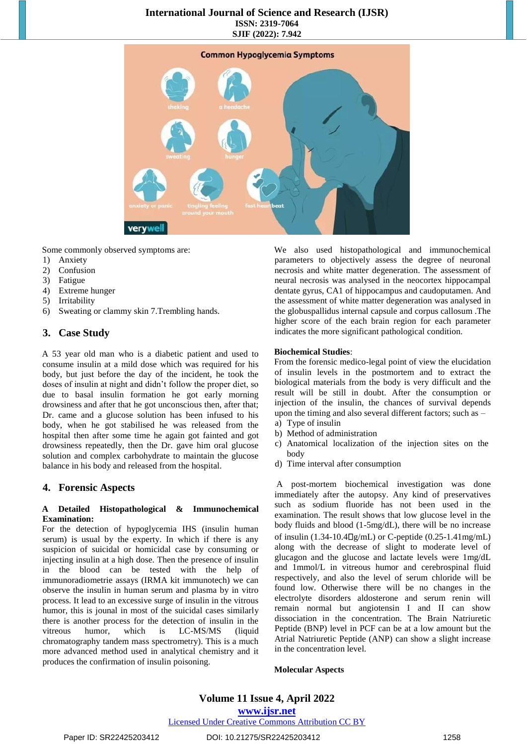#### **International Journal of Science and Research (IJSR) ISSN: 2319-7064 SJIF (2022): 7.942**



Some commonly observed symptoms are:

- 1) Anxiety
- 2) Confusion
- 3) Fatigue
- 4) Extreme hunger
- 5) Irritability
- 6) Sweating or clammy skin 7.Trembling hands.

## **3. Case Study**

A 53 year old man who is a diabetic patient and used to consume insulin at a mild dose which was required for his body, but just before the day of the incident, he took the doses of insulin at night and didn't follow the proper diet, so due to basal insulin formation he got early morning drowsiness and after that he got unconscious then, after that; Dr. came and a glucose solution has been infused to his body, when he got stabilised he was released from the hospital then after some time he again got fainted and got drowsiness repeatedly, then the Dr. gave him oral glucose solution and complex carbohydrate to maintain the glucose balance in his body and released from the hospital.

## **4. Forensic Aspects**

#### **A Detailed Histopathological & Immunochemical Examination:**

For the detection of hypoglycemia IHS (insulin human serum) is usual by the experty. In which if there is any suspicion of suicidal or homicidal case by consuming or injecting insulin at a high dose. Then the presence of insulin in the blood can be tested with the help of immunoradiometrie assays (IRMA kit immunotech) we can observe the insulin in human serum and plasma by in vitro process. It lead to an excessive surge of insulin in the vitrous humor, this is jounal in most of the suicidal cases similarly there is another process for the detection of insulin in the vitreous humor, which is LC-MS/MS (liquid chromatography tandem mass spectrometry). This is a much more advanced method used in analytical chemistry and it produces the confirmation of insulin poisoning.

We also used histopathological and immunochemical parameters to objectively assess the degree of neuronal necrosis and white matter degeneration. The assessment of neural necrosis was analysed in the neocortex hippocampal dentate gyrus, CA1 of hippocampus and caudoputamen. And the assessment of white matter degeneration was analysed in the globuspallidus internal capsule and corpus callosum .The higher score of the each brain region for each parameter indicates the more significant pathological condition.

#### **Biochemical Studies**:

From the forensic medico-legal point of view the elucidation of insulin levels in the postmortem and to extract the biological materials from the body is very difficult and the result will be still in doubt. After the consumption or injection of the insulin, the chances of survival depends upon the timing and also several different factors; such as –

- a) Type of insulin
- b) Method of administration
- c) Anatomical localization of the injection sites on the body
- d) Time interval after consumption

A post-mortem biochemical investigation was done immediately after the autopsy. Any kind of preservatives such as sodium fluoride has not been used in the examination. The result shows that low glucose level in the body fluids and blood (1-5mg/dL), there will be no increase of insulin  $(1.34-10.4 \square g/mL)$  or C-peptide  $(0.25-1.41mg/mL)$ along with the decrease of slight to moderate level of glucagon and the glucose and lactate levels were 1mg/dL and 1mmol/L in vitreous humor and cerebrospinal fluid respectively, and also the level of serum chloride will be found low. Otherwise there will be no changes in the electrolyte disorders aldosterone and serum renin will remain normal but angiotensin I and II can show dissociation in the concentration. The Brain Natriuretic Peptide (BNP) level in PCF can be at a low amount but the Atrial Natriuretic Peptide (ANP) can show a slight increase in the concentration level.

#### **Molecular Aspects**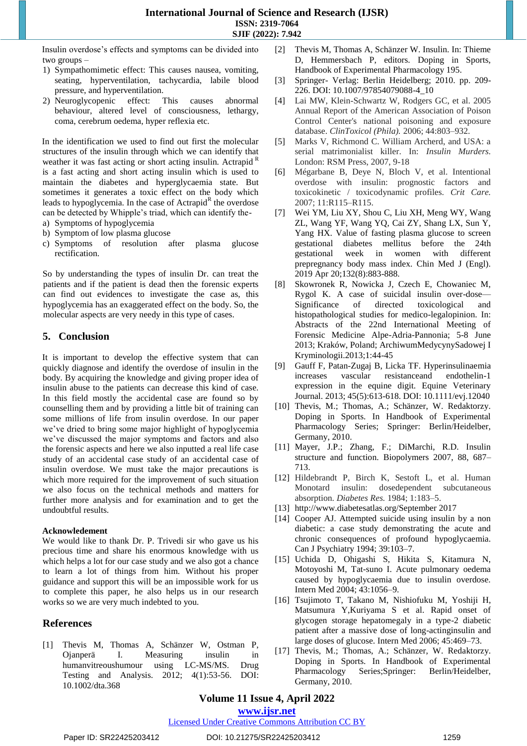Insulin overdose's effects and symptoms can be divided into two groups –

- 1) Sympathomimetic effect: This causes nausea, vomiting, seating, hyperventilation, tachycardia, labile blood pressure, and hyperventilation.
- 2) Neuroglycopenic effect: This causes abnormal behaviour, altered level of consciousness, lethargy, coma, cerebrum oedema, hyper reflexia etc.

In the identification we used to find out first the molecular structures of the insulin through which we can identify that weather it was fast acting or short acting insulin. Actrapid <sup>R</sup> is a fast acting and short acting insulin which is used to maintain the diabetes and hyperglycaemia state. But sometimes it generates a toxic effect on the body which leads to hypoglycemia. In the case of Actrapid<sup>R</sup> the overdose can be detected by Whipple's triad, which can identify the-

- a) Symptoms of hypoglycemia
- b) Symptom of low plasma glucose
- c) Symptoms of resolution after plasma glucose rectification.

So by understanding the types of insulin Dr. can treat the patients and if the patient is dead then the forensic experts can find out evidences to investigate the case as, this hypoglycemia has an exaggerated effect on the body. So, the molecular aspects are very needy in this type of cases.

## **5. Conclusion**

It is important to develop the effective system that can quickly diagnose and identify the overdose of insulin in the body. By acquiring the knowledge and giving proper idea of insulin abuse to the patients can decrease this kind of case. In this field mostly the accidental case are found so by counselling them and by providing a little bit of training can some millions of life from insulin overdose. In our paper we've dried to bring some major highlight of hypoglycemia we've discussed the major symptoms and factors and also the forensic aspects and here we also inputted a real life case study of an accidental case study of an accidental case of insulin overdose. We must take the major precautions is which more required for the improvement of such situation we also focus on the technical methods and matters for further more analysis and for examination and to get the undoubtful results.

#### **Acknowledement**

We would like to thank Dr. P. Trivedi sir who gave us his precious time and share his enormous knowledge with us which helps a lot for our case study and we also got a chance to learn a lot of things from him. Without his proper guidance and support this will be an impossible work for us to complete this paper, he also helps us in our research works so we are very much indebted to you.

## **References**

[1] Thevis M, Thomas A, Schänzer W, Ostman P, Ojanperä I. Measuring insulin in humanvitreoushumour using LC-MS/MS. Drug Testing and Analysis. 2012; 4(1):53-56. DOI: 10.1002/dta.368

- [2] Thevis M, Thomas A, Schänzer W. Insulin. In: Thieme D, Hemmersbach P, editors. Doping in Sports, Handbook of Experimental Pharmacology 195.
- [3] Springer- Verlag: Berlin Heidelberg; 2010. pp. 209- 226. DOI: 10.1007/97854079088-4\_10
- [4] Lai MW, Klein-Schwartz W, Rodgers GC, et al. 2005 Annual Report of the American Association of Poison Control Center's national poisoning and exposure database. *ClinToxicol (Phila).* 2006; 44:803–932.
- [5] Marks V, Richmond C. William Archerd, and USA: a serial matrimonialist killer. In: *Insulin Murders.* London: RSM Press, 2007, 9-18
- [6] Mégarbane B, Deye N, Bloch V, et al. Intentional overdose with insulin: prognostic factors and toxicokinetic / toxicodynamic profiles. *Crit Care.*  2007; 11:R115–R115.
- [7] Wei YM, Liu XY, Shou C, Liu XH, Meng WY, Wang ZL, Wang YF, Wang YQ, Cai ZY, Shang LX, Sun Y, Yang HX. Value of fasting plasma glucose to screen gestational diabetes mellitus before the 24th gestational week in women with different prepregnancy body mass index. Chin Med J (Engl). 2019 Apr 20;132(8):883-888.
- [8] Skowronek R, Nowicka J, Czech E, Chowaniec M, Rygol K. A case of suicidal insulin over-dose— Significance of directed toxicological and histopathological studies for medico-legalopinion. In: Abstracts of the 22nd International Meeting of Forensic Medicine Alpe-Adria-Pannonia; 5-8 June 2013; Kraków, Poland; ArchiwumMedycynySadowej I Kryminologii.2013;1:44-45
- [9] Gauff F, Patan-Zugaj B, Licka TF. Hyperinsulinaemia increases vascular resistanceand endothelin-1 expression in the equine digit. Equine Veterinary Journal. 2013; 45(5):613-618. DOI: 10.1111/evj.12040
- [10] Thevis, M.; Thomas, A.; Schänzer, W. Redaktorzy. Doping in Sports. In Handbook of Experimental Pharmacology Series; Springer: Berlin/Heidelber, Germany, 2010.
- [11] Mayer, J.P.; Zhang, F.; DiMarchi, R.D. Insulin structure and function. Biopolymers 2007, 88, 687– 713.
- [12] Hildebrandt P, Birch K, Sestoft L, et al. Human Monotard insulin: dosedependent subcutaneous absorption. *Diabetes Res.* 1984; 1:183–5.
- [13] http://www.diabetesatlas.org/September 2017
- [14] Cooper AJ. Attempted suicide using insulin by a non diabetic: a case study demonstrating the acute and chronic consequences of profound hypoglycaemia. Can J Psychiatry 1994; 39:103–7.
- [15] Uchida D, Ohigashi S, Hikita S, Kitamura N, Motoyoshi M, Tat-suno I. Acute pulmonary oedema caused by hypoglycaemia due to insulin overdose. Intern Med 2004; 43:1056–9.
- [16] Tsujimoto T, Takano M, Nishiofuku M, Yoshiji H, Matsumura Y,Kuriyama S et al. Rapid onset of glycogen storage hepatomegaly in a type-2 diabetic patient after a massive dose of long-actinginsulin and large doses of glucose. Intern Med 2006; 45:469–73.
- [17] Thevis, M.; Thomas, A.; Schänzer, W. Redaktorzy. Doping in Sports. In Handbook of Experimental Pharmacology Series;Springer: Berlin/Heidelber, Germany, 2010.

## **Volume 11 Issue 4, April 2022**

**www.ijsr.net**

## Licensed Under Creative Commons Attribution CC BY